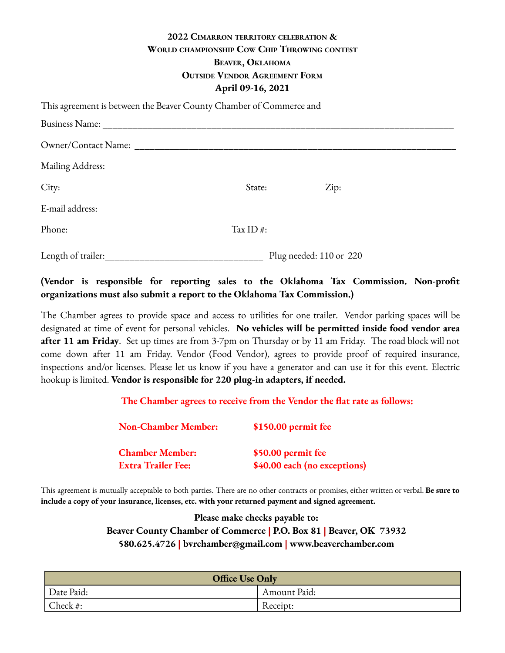## **2022 CIMARRON TERRITORY CELEBRATION & WORLD CHAMPIONSHIP COW CHIP THROWING CONTEST BEAVER, OKLAHOMA OUTSIDE VENDOR AGREEMENT FORM April 09-16, 2021**

| This agreement is between the Beaver County Chamber of Commerce and |              |                         |  |
|---------------------------------------------------------------------|--------------|-------------------------|--|
|                                                                     |              |                         |  |
| Owner/Contact Name:                                                 |              |                         |  |
| Mailing Address:                                                    |              |                         |  |
| City:                                                               | State:       | Zip:                    |  |
| E-mail address:                                                     |              |                         |  |
| Phone:                                                              | Tax ID $#$ : |                         |  |
| Length of trailer:                                                  |              | Plug needed: 110 or 220 |  |

## **(Vendor is responsible for reporting sales to the Oklahoma Tax Commission. Non-profit organizations must also submit a report to the Oklahoma Tax Commission.)**

The Chamber agrees to provide space and access to utilities for one trailer. Vendor parking spaces will be designated at time of event for personal vehicles. **No vehicles will be permitted inside food vendor area after 11 am Friday**. Set up times are from 3-7pm on Thursday or by 11 am Friday. The road block will not come down after 11 am Friday. Vendor (Food Vendor), agrees to provide proof of required insurance, inspections and/or licenses. Please let us know if you have a generator and can use it for this event. Electric hookup is limited. **Vendor is responsible for 220 plug-in adapters, if needed.**

| <b>Non-Chamber Member:</b> | \$150.00 permit fee          |
|----------------------------|------------------------------|
| <b>Chamber Member:</b>     | \$50.00 permit fee           |
| <b>Extra Trailer Fee:</b>  | \$40.00 each (no exceptions) |

This agreement is mutually acceptable to both parties. There are no other contracts or promises, either written or verbal. **Be sure to include a copy of your insurance, licenses, etc. with your returned payment and signed agreement.**

> **Please make checks payable to: Beaver County Chamber of Commerce | P.O. Box 81 | Beaver, OK 73932 580.625.4726 | bvrchamber@gmail.com | www.beaverchamber.com**

| <b>Office Use Only</b> |              |  |
|------------------------|--------------|--|
| Date Paid:             | Amount Paid: |  |
| Check #:               | Receipt:     |  |